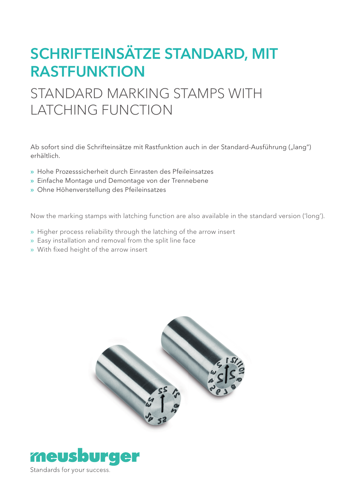# SCHRIFTEINSÄTZE STANDARD, MIT RASTFUNKTION

## STANDARD MARKING STAMPS WITH LATCHING FUNCTION

Ab sofort sind die Schrifteinsätze mit Rastfunktion auch in der Standard-Ausführung ("lang") erhältlich.

- » Hohe Prozesssicherheit durch Einrasten des Pfeileinsatzes
- » Einfache Montage und Demontage von der Trennebene
- » Ohne Höhenverstellung des Pfeileinsatzes

Now the marking stamps with latching function are also available in the standard version ('long').

- » Higher process reliability through the latching of the arrow insert
- » Easy installation and removal from the split line face
- » With fixed height of the arrow insert



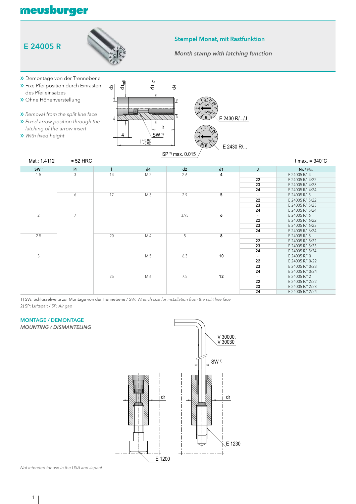### meusburger





#### Stempel Monat, mit Rastfunktion

*Month stamp with latching function*



| Mat.: 1.4112     | $\approx$ 52 HRC |    |                |      |    |        | t max. = $340^{\circ}$ C |
|------------------|------------------|----|----------------|------|----|--------|--------------------------|
| SW <sup>1)</sup> | 4                |    | d4             | d2   | d1 | J      | Nr. / $No.$              |
| 1.5              | 3                | 14 | M <sub>2</sub> | 2.6  | 4  | $\sim$ | E 24005 R/ 4             |
|                  |                  |    |                |      |    | 22     | E 24005 R/ 4/22          |
|                  |                  |    |                |      |    | 23     | E 24005 R/ 4/23          |
|                  |                  |    |                |      |    | 24     | E 24005 R/ 4/24          |
|                  | 6                | 17 | M <sub>3</sub> | 2.9  | 5  |        | E 24005 R/ 5             |
|                  |                  |    |                |      |    | 22     | E 24005 R/ 5/22          |
|                  |                  |    |                |      |    | 23     | E 24005 R/ 5/23          |
|                  |                  |    |                |      |    | 24     | E 24005 R/ 5/24          |
| $\overline{2}$   | $\overline{7}$   |    |                | 3.95 | 6  |        | E 24005 R/ 6             |
|                  |                  |    |                |      |    | 22     | E 24005 R/ 6/22          |
|                  |                  |    |                |      |    | 23     | E 24005 R/ 6/23          |
|                  |                  |    |                |      |    | 24     | E 24005 R/ 6/24          |
| 2.5              |                  | 20 | M 4            | 5    | 8  | $\sim$ | E 24005 R/8              |
|                  |                  |    |                |      |    | 22     | E 24005 R/ 8/22          |
|                  |                  |    |                |      |    | 23     | E 24005 R/ 8/23          |
|                  |                  |    |                |      |    | 24     | E 24005 R/ 8/24          |
| 3                |                  |    | M 5            | 6.3  | 10 | $\sim$ | E 24005 R/10             |
|                  |                  |    |                |      |    | 22     | E 24005 R/10/22          |
|                  |                  |    |                |      |    | 23     | E 24005 R/10/23          |
|                  |                  |    |                |      |    | 24     | E 24005 R/10/24          |
|                  |                  | 25 | M 6            | 7.5  | 12 | $\sim$ | E 24005 R/12             |
|                  |                  |    |                |      |    | 22     | E 24005 R/12/22          |
|                  |                  |    |                |      |    | 23     | E 24005 R/12/23          |
|                  |                  |    |                |      |    | 24     | E 24005 R/12/24          |

1) SW: Schlüsselweite zur Montage von der Trennebene / *SW: Wrench size for installation from the split line face* 2) SP: Luftspalt / *SP: Air gap*

#### MONTAGE / DEMONTAGE

*MOUNTING / DISMANTELING*



*Not intended for use in the USA and Japan!*